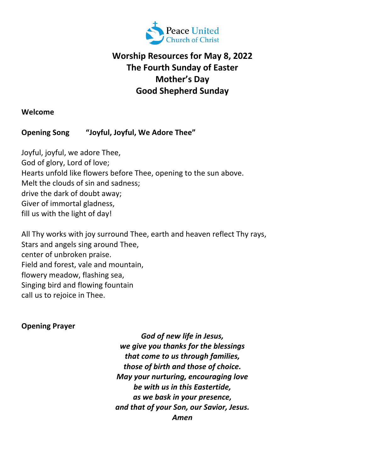

# **Worship Resources for May 8, 2022 The Fourth Sunday of Easter Mother's Day Good Shepherd Sunday**

#### **Welcome**

## **Opening Song "Joyful, Joyful, We Adore Thee"**

Joyful, joyful, we adore Thee, God of glory, Lord of love; Hearts unfold like flowers before Thee, opening to the sun above. Melt the clouds of sin and sadness; drive the dark of doubt away; Giver of immortal gladness, fill us with the light of day!

All Thy works with joy surround Thee, earth and heaven reflect Thy rays, Stars and angels sing around Thee, center of unbroken praise. Field and forest, vale and mountain, flowery meadow, flashing sea, Singing bird and flowing fountain call us to rejoice in Thee.

## **Opening Prayer**

*God of new life in Jesus, we give you thanks for the blessings that come to us through families, those of birth and those of choice. May your nurturing, encouraging love be with us in this Eastertide, as we bask in your presence, and that of your Son, our Savior, Jesus. Amen*